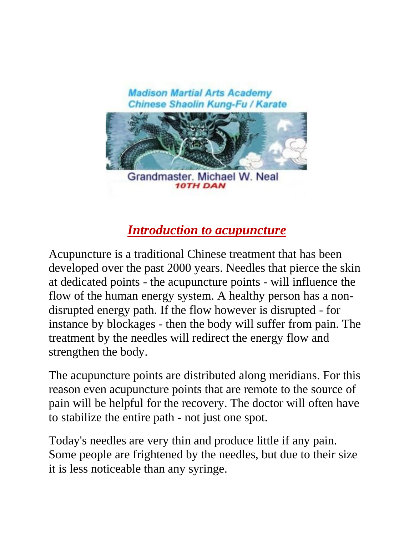

# *Introduction to acupuncture*

Acupuncture is a traditional Chinese treatment that has been developed over the past 2000 years. Needles that pierce the skin at dedicated points - the acupuncture points - will influence the flow of the human energy system. A healthy person has a nondisrupted energy path. If the flow however is disrupted - for instance by blockages - then the body will suffer from pain. The treatment by the needles will redirect the energy flow and strengthen the body.

The acupuncture points are distributed along meridians. For this reason even acupuncture points that are remote to the source of pain will be helpful for the recovery. The doctor will often have to stabilize the entire path - not just one spot.

Today's needles are very thin and produce little if any pain. Some people are frightened by the needles, but due to their size it is less noticeable than any syringe.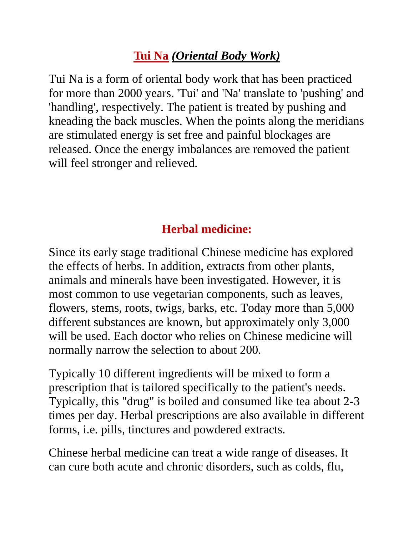# **Tui Na** *(Oriental Body Work)*

Tui Na is a form of oriental body work that has been practiced for more than 2000 years. 'Tui' and 'Na' translate to 'pushing' and 'handling', respectively. The patient is treated by pushing and kneading the back muscles. When the points along the meridians are stimulated energy is set free and painful blockages are released. Once the energy imbalances are removed the patient will feel stronger and relieved.

## **Herbal medicine:**

Since its early stage traditional Chinese medicine has explored the effects of herbs. In addition, extracts from other plants, animals and minerals have been investigated. However, it is most common to use vegetarian components, such as leaves, flowers, stems, roots, twigs, barks, etc. Today more than 5,000 different substances are known, but approximately only 3,000 will be used. Each doctor who relies on Chinese medicine will normally narrow the selection to about 200.

Typically 10 different ingredients will be mixed to form a prescription that is tailored specifically to the patient's needs. Typically, this "drug" is boiled and consumed like tea about 2-3 times per day. Herbal prescriptions are also available in different forms, i.e. pills, tinctures and powdered extracts.

Chinese herbal medicine can treat a wide range of diseases. It can cure both acute and chronic disorders, such as colds, flu,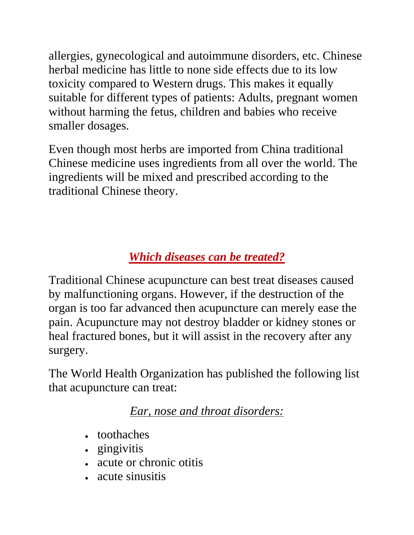allergies, gynecological and autoimmune disorders, etc. Chinese herbal medicine has little to none side effects due to its low toxicity compared to Western drugs. This makes it equally suitable for different types of patients: Adults, pregnant women without harming the fetus, children and babies who receive smaller dosages.

Even though most herbs are imported from China traditional Chinese medicine uses ingredients from all over the world. The ingredients will be mixed and prescribed according to the traditional Chinese theory.

# *Which diseases can be treated?*

Traditional Chinese acupuncture can best treat diseases caused by malfunctioning organs. However, if the destruction of the organ is too far advanced then acupuncture can merely ease the pain. Acupuncture may not destroy bladder or kidney stones or heal fractured bones, but it will assist in the recovery after any surgery.

The World Health Organization has published the following list that acupuncture can treat:

*Ear, nose and throat disorders:*

- toothaches
- gingivitis
- acute or chronic otitis
- acute sinusitis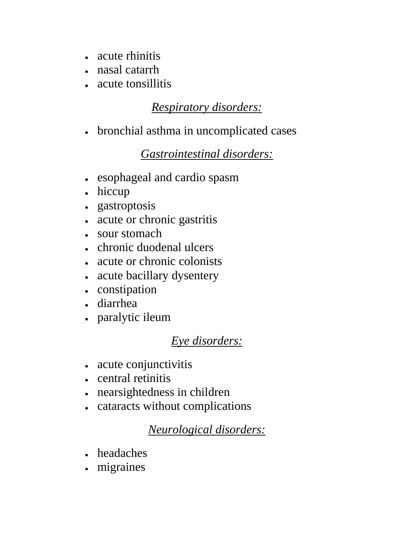- acute rhinitis
- nasal catarrh
- acute tonsillitis

#### *Respiratory disorders:*

bronchial asthma in uncomplicated cases

## *Gastrointestinal disorders:*

- esophageal and cardio spasm
- hiccup
- gastroptosis
- acute or chronic gastritis
- sour stomach
- chronic duodenal ulcers
- acute or chronic colonists
- acute bacillary dysentery
- constipation
- diarrhea
- paralytic ileum

## *Eye disorders:*

- acute conjunctivitis
- central retinitis
- nearsightedness in children
- cataracts without complications

## *Neurological disorders:*

- headaches
- migraines